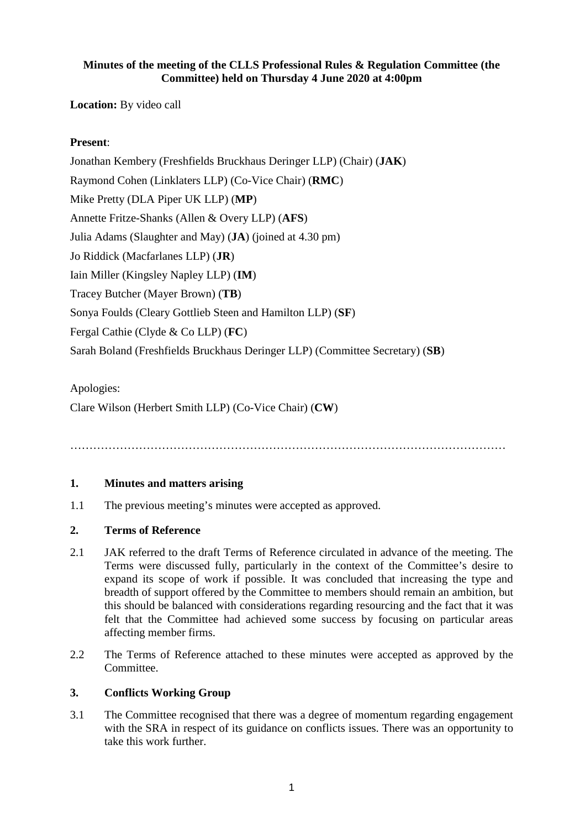## **Minutes of the meeting of the CLLS Professional Rules & Regulation Committee (the Committee) held on Thursday 4 June 2020 at 4:00pm**

**Location:** By video call

# **Present**:

Jonathan Kembery (Freshfields Bruckhaus Deringer LLP) (Chair) (**JAK**) Raymond Cohen (Linklaters LLP) (Co-Vice Chair) (**RMC**) Mike Pretty (DLA Piper UK LLP) (**MP**) Annette Fritze-Shanks (Allen & Overy LLP) (**AFS**) Julia Adams (Slaughter and May) (**JA**) (joined at 4.30 pm) Jo Riddick (Macfarlanes LLP) (**JR**) Iain Miller (Kingsley Napley LLP) (**IM**) Tracey Butcher (Mayer Brown) (**TB**) Sonya Foulds (Cleary Gottlieb Steen and Hamilton LLP) (**SF**) Fergal Cathie (Clyde & Co LLP) (**FC**) Sarah Boland (Freshfields Bruckhaus Deringer LLP) (Committee Secretary) (**SB**)

Apologies:

Clare Wilson (Herbert Smith LLP) (Co-Vice Chair) (**CW**)

……………………………………………………………………………………………………

## **1. Minutes and matters arising**

1.1 The previous meeting's minutes were accepted as approved.

#### **2. Terms of Reference**

- 2.1 JAK referred to the draft Terms of Reference circulated in advance of the meeting. The Terms were discussed fully, particularly in the context of the Committee's desire to expand its scope of work if possible. It was concluded that increasing the type and breadth of support offered by the Committee to members should remain an ambition, but this should be balanced with considerations regarding resourcing and the fact that it was felt that the Committee had achieved some success by focusing on particular areas affecting member firms.
- 2.2 The Terms of Reference attached to these minutes were accepted as approved by the Committee.

#### **3. Conflicts Working Group**

3.1 The Committee recognised that there was a degree of momentum regarding engagement with the SRA in respect of its guidance on conflicts issues. There was an opportunity to take this work further.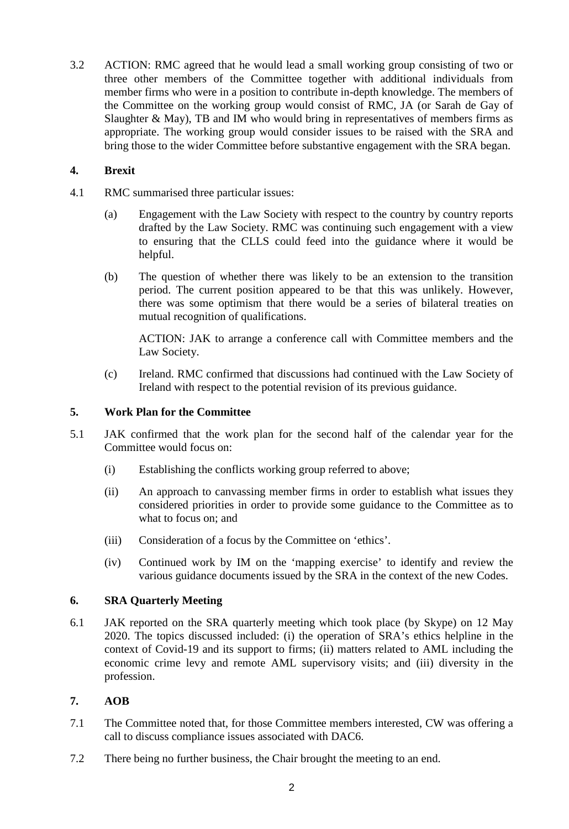3.2 ACTION: RMC agreed that he would lead a small working group consisting of two or three other members of the Committee together with additional individuals from member firms who were in a position to contribute in-depth knowledge. The members of the Committee on the working group would consist of RMC, JA (or Sarah de Gay of Slaughter  $\&$  May), TB and IM who would bring in representatives of members firms as appropriate. The working group would consider issues to be raised with the SRA and bring those to the wider Committee before substantive engagement with the SRA began.

## **4. Brexit**

- 4.1 RMC summarised three particular issues:
	- (a) Engagement with the Law Society with respect to the country by country reports drafted by the Law Society. RMC was continuing such engagement with a view to ensuring that the CLLS could feed into the guidance where it would be helpful.
	- (b) The question of whether there was likely to be an extension to the transition period. The current position appeared to be that this was unlikely. However, there was some optimism that there would be a series of bilateral treaties on mutual recognition of qualifications.

ACTION: JAK to arrange a conference call with Committee members and the Law Society.

(c) Ireland. RMC confirmed that discussions had continued with the Law Society of Ireland with respect to the potential revision of its previous guidance.

## **5. Work Plan for the Committee**

- 5.1 JAK confirmed that the work plan for the second half of the calendar year for the Committee would focus on:
	- (i) Establishing the conflicts working group referred to above;
	- (ii) An approach to canvassing member firms in order to establish what issues they considered priorities in order to provide some guidance to the Committee as to what to focus on; and
	- (iii) Consideration of a focus by the Committee on 'ethics'.
	- (iv) Continued work by IM on the 'mapping exercise' to identify and review the various guidance documents issued by the SRA in the context of the new Codes.

#### **6. SRA Quarterly Meeting**

6.1 JAK reported on the SRA quarterly meeting which took place (by Skype) on 12 May 2020. The topics discussed included: (i) the operation of SRA's ethics helpline in the context of Covid-19 and its support to firms; (ii) matters related to AML including the economic crime levy and remote AML supervisory visits; and (iii) diversity in the profession.

#### **7. AOB**

- 7.1 The Committee noted that, for those Committee members interested, CW was offering a call to discuss compliance issues associated with DAC6.
- 7.2 There being no further business, the Chair brought the meeting to an end.